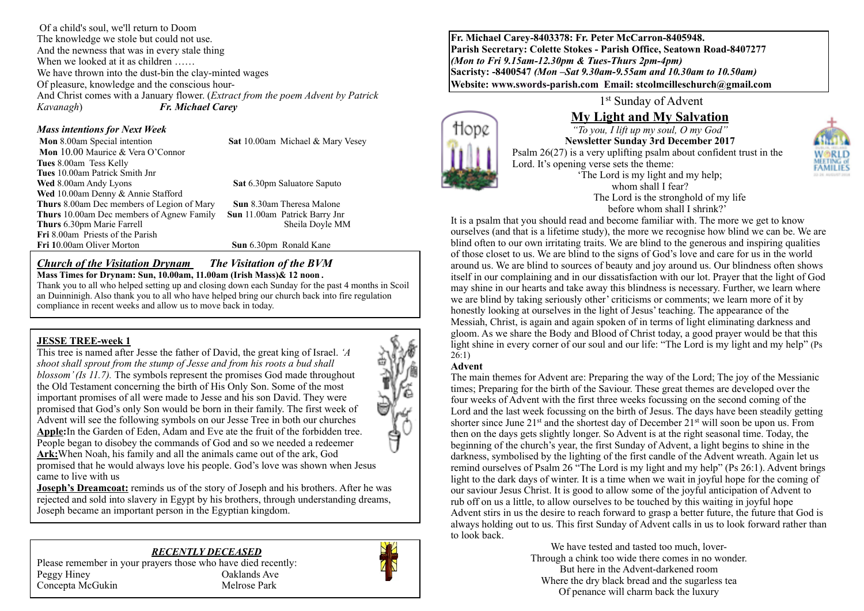Of a child's soul, we'll return to Doom The knowledge we stole but could not use. And the newness that was in every stale thing When we looked at it as children ...... We have thrown into the dust-bin the clay-minted wages Of pleasure, knowledge and the conscious hour-And Christ comes with a January flower. (*Extract from the poem Advent by Patrick Kavanagh*) *Fr. Michael Carey*

#### *Mass intentions for Next Week*

**Mon** 8.00am Special intention **Sat** 10.00am Michael & Mary Vesey  **Mon** 10.00 Maurice & Vera O'Connor **Tues** 8.00am Tess Kelly **Tues** 10.00am Patrick Smith Jnr **Wed** 8.00am Andy Lyons **Sat 6.30pm Saluatore Saputo Wed** 10.00am Denny & Annie Stafford **Thurs** 8.00am Dec members of Legion of Mary **Sun** 8.30am Theresa Malone **Thurs** 10.00am Dec members of Agnew Family **Sun** 11.00am Patrick Barry Jnr **Thurs** 6.30pm Marie Farrell Sheila Doyle MM **Fri** 8.00am Priests of the Parish

**Sun** 6.30pm Ronald Kane

#### *Church of the Visitation Drynam**The Visitation of the BVM* **Mass Times for Drynam: Sun, 10.00am, 11.00am (Irish Mass)& 12 noon** *.*

Thank you to all who helped setting up and closing down each Sunday for the past 4 months in Scoil an Duinninigh. Also thank you to all who have helped bring our church back into fire regulation compliance in recent weeks and allow us to move back in today.

#### **JESSE TREE-week 1**

This tree is named after Jesse the father of David, the great king of Israel. *'A shoot shall sprout from the stump of Jesse and from his roots a bud shall blossom' (Is 11.7).* The symbols represent the promises God made throughout the Old Testament concerning the birth of His Only Son. Some of the most important promises of all were made to Jesse and his son David. They were promised that God's only Son would be born in their family. The first week of Advent will see the following symbols on our Jesse Tree in both our churches **Apple:**In the Garden of Eden, Adam and Eve ate the fruit of the forbidden tree. People began to disobey the commands of God and so we needed a redeemer **Ark:**When Noah, his family and all the animals came out of the ark, God promised that he would always love his people. God's love was shown when Jesus came to live with us

Å

**Joseph's Dreamcoat:** reminds us of the story of Joseph and his brothers. After he was rejected and sold into slavery in Egypt by his brothers, through understanding dreams, Joseph became an important person in the Egyptian kingdom.

#### *RECENTLY DECEASED*





**Fr. Michael Carey-8403378: Fr. Peter McCarron-8405948. Parish Secretary: Colette Stokes - Parish Office, Seatown Road-8407277**  *(Mon to Fri 9.15am-12.30pm & Tues-Thurs 2pm-4pm)*  **Sacristy: -8400547** *(Mon –Sat 9.30am-9.55am and 10.30am to 10.50am)* **Website: [www.swords-parish.com Email:](http://www.swords-parish.com%20%20email) stcolmcilleschurch@gmail.com**

1st Sunday of Advent

# **My Light and My Salvation**

*"To you, I lift up my soul, O my God"* **Newsletter Sunday 3rd December 2017**  Psalm 26(27) is a very uplifting psalm about confident trust in the Lord. It's opening verse sets the theme: 'The Lord is my light and my help; whom shall I fear? The Lord is the stronghold of my life

before whom shall I shrink?' It is a psalm that you should read and become familiar with. The more we get to know ourselves (and that is a lifetime study), the more we recognise how blind we can be. We are blind often to our own irritating traits. We are blind to the generous and inspiring qualities of those closet to us. We are blind to the signs of God's love and care for us in the world around us. We are blind to sources of beauty and joy around us. Our blindness often shows itself in our complaining and in our dissatisfaction with our lot. Prayer that the light of God may shine in our hearts and take away this blindness is necessary. Further, we learn where we are blind by taking seriously other' criticisms or comments; we learn more of it by honestly looking at ourselves in the light of Jesus' teaching. The appearance of the Messiah, Christ, is again and again spoken of in terms of light eliminating darkness and gloom. As we share the Body and Blood of Christ today, a good prayer would be that this light shine in every corner of our soul and our life: "The Lord is my light and my help" (Ps 26:1)

#### **Advent**

70D

The main themes for Advent are: Preparing the way of the Lord; The joy of the Messianic times; Preparing for the birth of the Saviour. These great themes are developed over the four weeks of Advent with the first three weeks focussing on the second coming of the Lord and the last week focussing on the birth of Jesus. The days have been steadily getting shorter since June  $21^{st}$  and the shortest day of December  $21^{st}$  will soon be upon us. From then on the days gets slightly longer. So Advent is at the right seasonal time. Today, the beginning of the church's year, the first Sunday of Advent, a light begins to shine in the darkness, symbolised by the lighting of the first candle of the Advent wreath. Again let us remind ourselves of Psalm 26 "The Lord is my light and my help" (Ps 26:1). Advent brings light to the dark days of winter. It is a time when we wait in joyful hope for the coming of our saviour Jesus Christ. It is good to allow some of the joyful anticipation of Advent to rub off on us a little, to allow ourselves to be touched by this waiting in joyful hope Advent stirs in us the desire to reach forward to grasp a better future, the future that God is always holding out to us. This first Sunday of Advent calls in us to look forward rather than to look back.

We have tested and tasted too much, lover-Through a chink too wide there comes in no wonder. But here in the Advent-darkened room Where the dry black bread and the sugarless tea Of penance will charm back the luxury